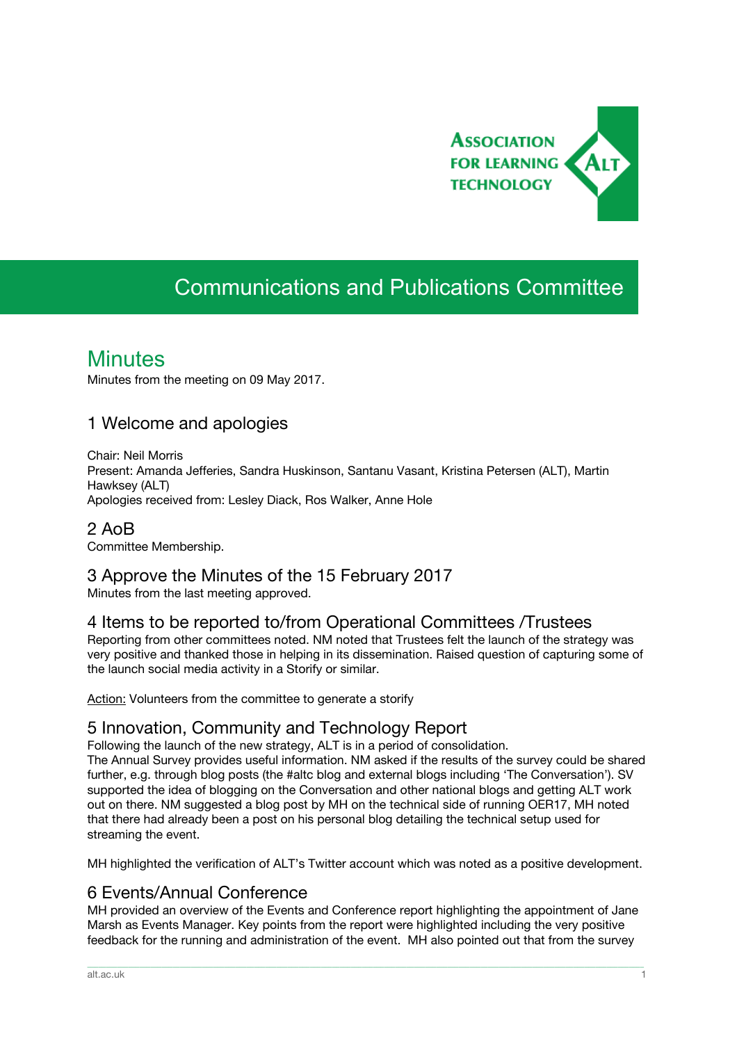

# Communications and Publications Committee

## **Minutes**

Minutes from the meeting on 09 May 2017.

### 1 Welcome and apologies

Chair: Neil Morris Present: Amanda Jefferies, Sandra Huskinson, Santanu Vasant, Kristina Petersen (ALT), Martin Hawksey (ALT) Apologies received from: Lesley Diack, Ros Walker, Anne Hole

2 AoB Committee Membership.

### 3 Approve the Minutes of the 15 February 2017

Minutes from the last meeting approved.

### 4 Items to be reported to/from Operational Committees /Trustees

Reporting from other committees noted. NM noted that Trustees felt the launch of the strategy was very positive and thanked those in helping in its dissemination. Raised question of capturing some of the launch social media activity in a Storify or similar.

Action: Volunteers from the committee to generate a storify

### 5 Innovation, Community and Technology Report

Following the launch of the new strategy, ALT is in a period of consolidation.

The Annual Survey provides useful information. NM asked if the results of the survey could be shared further, e.g. through blog posts (the #altc blog and external blogs including 'The Conversation'). SV supported the idea of blogging on the Conversation and other national blogs and getting ALT work out on there. NM suggested a blog post by MH on the technical side of running OER17, MH noted that there had already been a post on his personal blog detailing the technical setup used for streaming the event.

MH highlighted the verification of ALT's Twitter account which was noted as a positive development.

### 6 Events/Annual Conference

MH provided an overview of the Events and Conference report highlighting the appointment of Jane Marsh as Events Manager. Key points from the report were highlighted including the very positive feedback for the running and administration of the event. MH also pointed out that from the survey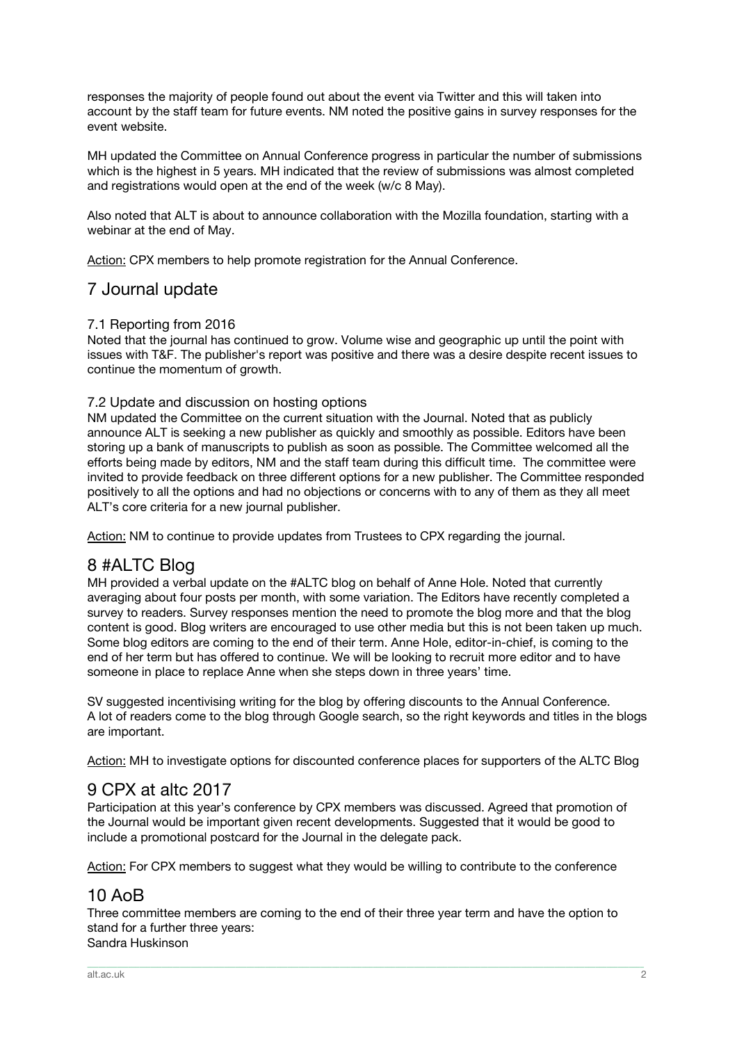responses the majority of people found out about the event via Twitter and this will taken into account by the staff team for future events. NM noted the positive gains in survey responses for the event website.

MH updated the Committee on Annual Conference progress in particular the number of submissions which is the highest in 5 years. MH indicated that the review of submissions was almost completed and registrations would open at the end of the week (w/c 8 May).

Also noted that ALT is about to announce collaboration with the Mozilla foundation, starting with a webinar at the end of May.

Action: CPX members to help promote registration for the Annual Conference.

### 7 Journal update

#### 7.1 Reporting from 2016

Noted that the journal has continued to grow. Volume wise and geographic up until the point with issues with T&F. The publisher's report was positive and there was a desire despite recent issues to continue the momentum of growth.

#### 7.2 Update and discussion on hosting options

NM updated the Committee on the current situation with the Journal. Noted that as publicly announce ALT is seeking a new publisher as quickly and smoothly as possible. Editors have been storing up a bank of manuscripts to publish as soon as possible. The Committee welcomed all the efforts being made by editors, NM and the staff team during this difficult time. The committee were invited to provide feedback on three different options for a new publisher. The Committee responded positively to all the options and had no objections or concerns with to any of them as they all meet ALT's core criteria for a new journal publisher.

Action: NM to continue to provide updates from Trustees to CPX regarding the journal.

### 8 #ALTC Blog

MH provided a verbal update on the #ALTC blog on behalf of Anne Hole. Noted that currently averaging about four posts per month, with some variation. The Editors have recently completed a survey to readers. Survey responses mention the need to promote the blog more and that the blog content is good. Blog writers are encouraged to use other media but this is not been taken up much. Some blog editors are coming to the end of their term. Anne Hole, editor-in-chief, is coming to the end of her term but has offered to continue. We will be looking to recruit more editor and to have someone in place to replace Anne when she steps down in three years' time.

SV suggested incentivising writing for the blog by offering discounts to the Annual Conference. A lot of readers come to the blog through Google search, so the right keywords and titles in the blogs are important.

Action: MH to investigate options for discounted conference places for supporters of the ALTC Blog

### 9 CPX at altc 2017

Participation at this year's conference by CPX members was discussed. Agreed that promotion of the Journal would be important given recent developments. Suggested that it would be good to include a promotional postcard for the Journal in the delegate pack.

Action: For CPX members to suggest what they would be willing to contribute to the conference

### 10 AoB

Three committee members are coming to the end of their three year term and have the option to stand for a further three years: Sandra Huskinson